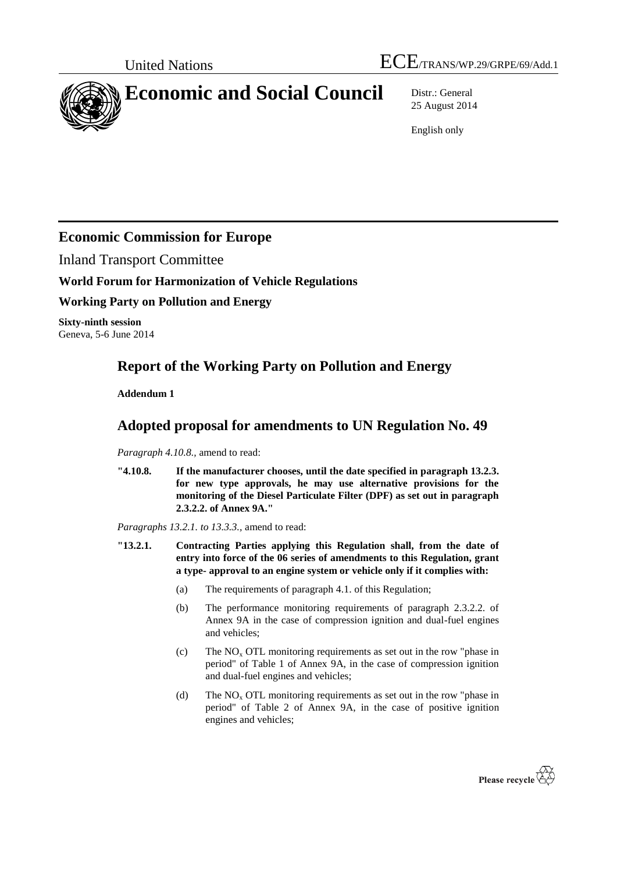

# **Economic and Social Council** Distr.: General

25 August 2014

English only

### **Economic Commission for Europe**

Inland Transport Committee

**World Forum for Harmonization of Vehicle Regulations**

### **Working Party on Pollution and Energy**

**Sixty-ninth session** Geneva, 5-6 June 2014

## **Report of the Working Party on Pollution and Energy**

**Addendum 1**

### **Adopted proposal for amendments to UN Regulation No. 49**

*Paragraph 4.10.8.,* amend to read:

**"4.10.8. If the manufacturer chooses, until the date specified in paragraph 13.2.3. for new type approvals, he may use alternative provisions for the monitoring of the Diesel Particulate Filter (DPF) as set out in paragraph 2.3.2.2. of Annex 9A."**

*Paragraphs 13.2.1. to 13.3.3.,* amend to read:

- **"13.2.1. Contracting Parties applying this Regulation shall, from the date of entry into force of the 06 series of amendments to this Regulation, grant a type- approval to an engine system or vehicle only if it complies with:**
	- (a) The requirements of paragraph 4.1. of this Regulation;
	- (b) The performance monitoring requirements of paragraph 2.3.2.2. of Annex 9A in the case of compression ignition and dual-fuel engines and vehicles;
	- (c) The  $NO<sub>x</sub> OTL$  monitoring requirements as set out in the row "phase in period" of Table 1 of Annex 9A, in the case of compression ignition and dual-fuel engines and vehicles;
	- (d) The  $NO<sub>x</sub> OTL$  monitoring requirements as set out in the row "phase in period" of Table 2 of Annex 9A, in the case of positive ignition engines and vehicles;

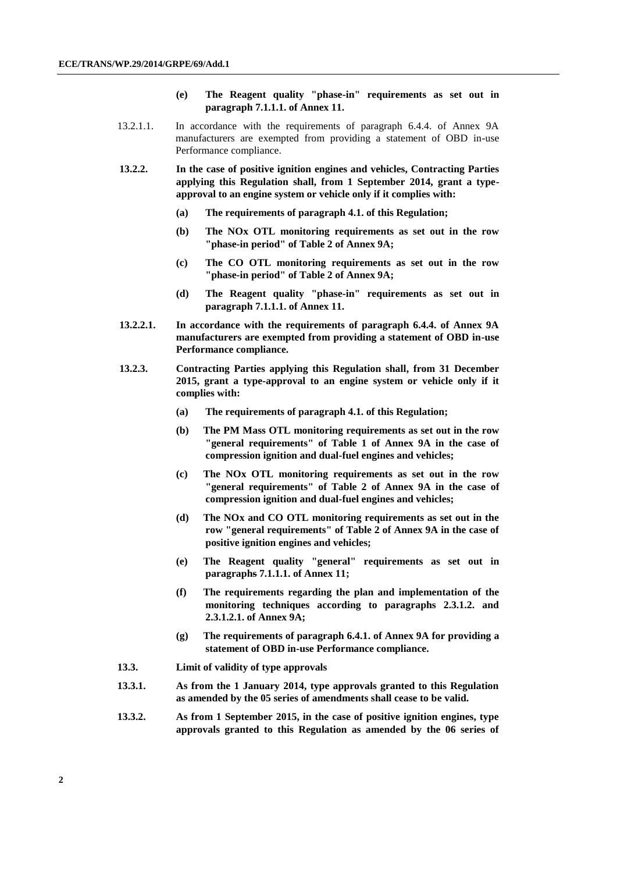- **(e) The Reagent quality "phase-in" requirements as set out in paragraph 7.1.1.1. of Annex 11.**
- 13.2.1.1. In accordance with the requirements of paragraph 6.4.4. of Annex 9A manufacturers are exempted from providing a statement of OBD in-use Performance compliance.
- **13.2.2. In the case of positive ignition engines and vehicles, Contracting Parties applying this Regulation shall, from 1 September 2014, grant a typeapproval to an engine system or vehicle only if it complies with:**
	- **(a) The requirements of paragraph 4.1. of this Regulation;**
	- **(b) The NOx OTL monitoring requirements as set out in the row "phase-in period" of Table 2 of Annex 9A;**
	- **(c) The CO OTL monitoring requirements as set out in the row "phase-in period" of Table 2 of Annex 9A;**
	- **(d) The Reagent quality "phase-in" requirements as set out in paragraph 7.1.1.1. of Annex 11.**
- **13.2.2.1. In accordance with the requirements of paragraph 6.4.4. of Annex 9A manufacturers are exempted from providing a statement of OBD in-use Performance compliance.**
- **13.2.3. Contracting Parties applying this Regulation shall, from 31 December 2015, grant a type-approval to an engine system or vehicle only if it complies with:**
	- **(a) The requirements of paragraph 4.1. of this Regulation;**
	- **(b) The PM Mass OTL monitoring requirements as set out in the row "general requirements" of Table 1 of Annex 9A in the case of compression ignition and dual-fuel engines and vehicles;**
	- **(c) The NOx OTL monitoring requirements as set out in the row "general requirements" of Table 2 of Annex 9A in the case of compression ignition and dual-fuel engines and vehicles;**
	- **(d) The NOx and CO OTL monitoring requirements as set out in the row "general requirements" of Table 2 of Annex 9A in the case of positive ignition engines and vehicles;**
	- **(e) The Reagent quality "general" requirements as set out in paragraphs 7.1.1.1. of Annex 11;**
	- **(f) The requirements regarding the plan and implementation of the monitoring techniques according to paragraphs 2.3.1.2. and 2.3.1.2.1. of Annex 9A;**
	- **(g) The requirements of paragraph 6.4.1. of Annex 9A for providing a statement of OBD in-use Performance compliance.**
- **13.3. Limit of validity of type approvals**
- **13.3.1. As from the 1 January 2014, type approvals granted to this Regulation as amended by the 05 series of amendments shall cease to be valid.**
- **13.3.2. As from 1 September 2015, in the case of positive ignition engines, type approvals granted to this Regulation as amended by the 06 series of**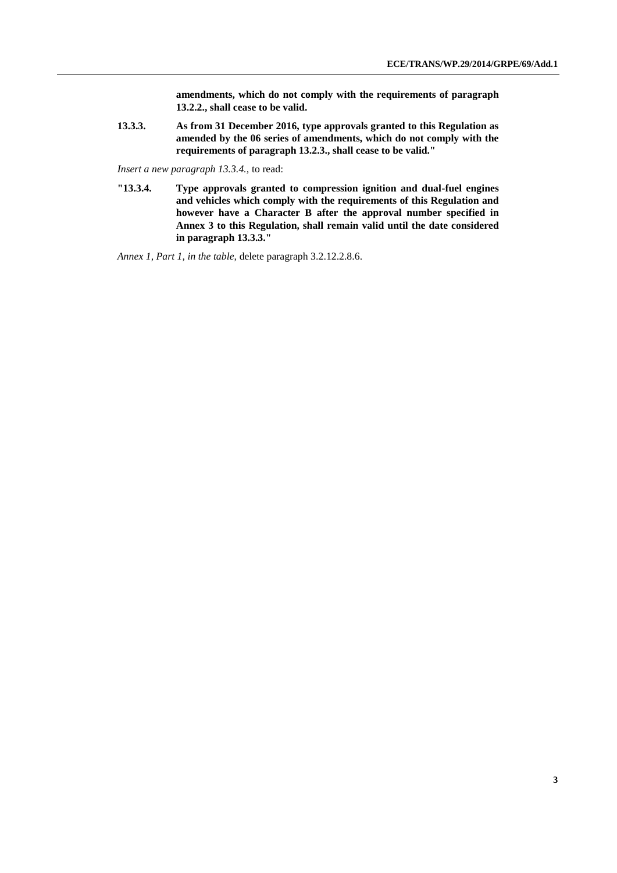**amendments, which do not comply with the requirements of paragraph 13.2.2., shall cease to be valid.**

**13.3.3. As from 31 December 2016, type approvals granted to this Regulation as amended by the 06 series of amendments, which do not comply with the requirements of paragraph 13.2.3., shall cease to be valid."**

*Insert a new paragraph 13.3.4.,* to read:

**"13.3.4. Type approvals granted to compression ignition and dual-fuel engines and vehicles which comply with the requirements of this Regulation and however have a Character B after the approval number specified in Annex 3 to this Regulation, shall remain valid until the date considered in paragraph 13.3.3."**

*Annex 1, Part 1, in the table,* delete paragraph 3.2.12.2.8.6.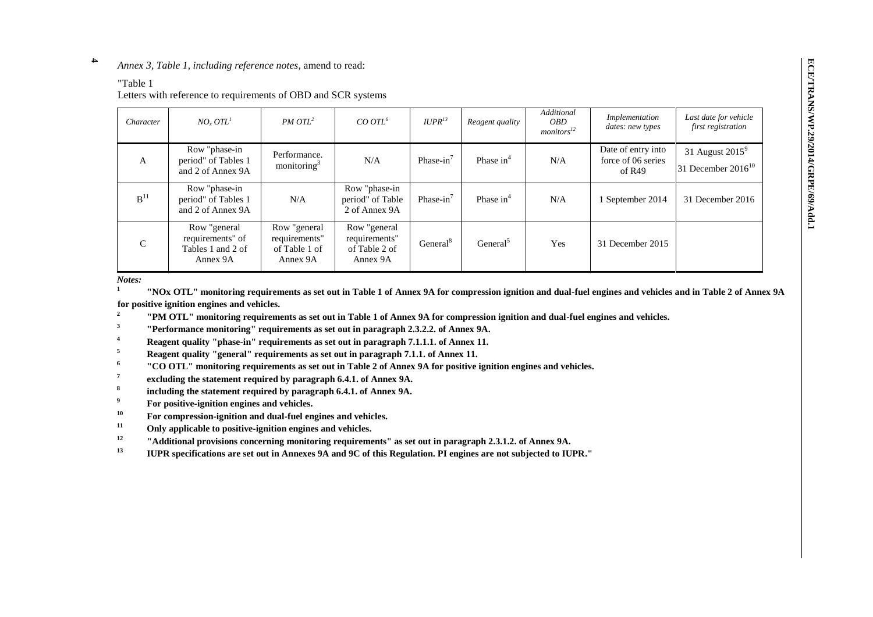#### **4** *Annex 3, Table 1, including reference notes*, amend to read:

#### "Table 1

Letters with reference to requirements of OBD and SCR systems

| Character       | NO <sub>x</sub> OTL <sup>1</sup>                                  | $PM OTL^2$                                                 | $CO OTL^6$                                                 | $IUPR^{13}$          | Reagent quality      | Additional<br><i>OBD</i><br>monitors <sup>12</sup> | Implementation<br>dates: new types                 | Last date for vehicle<br>first registration   |
|-----------------|-------------------------------------------------------------------|------------------------------------------------------------|------------------------------------------------------------|----------------------|----------------------|----------------------------------------------------|----------------------------------------------------|-----------------------------------------------|
| $\mathbf{A}$    | Row "phase-in<br>period" of Tables 1<br>and 2 of Annex 9A         | Performance.<br>monitoring <sup>3</sup>                    | N/A                                                        | Phase- $in'$         | Phase $in^4$         | N/A                                                | Date of entry into<br>force of 06 series<br>of R49 | 31 August $2015^9$<br>31 December $2016^{10}$ |
| B <sup>11</sup> | Row "phase-in<br>period" of Tables 1<br>and 2 of Annex 9A         | N/A                                                        | Row "phase-in<br>period" of Table<br>2 of Annex 9A         | Phase- $in^7$        | Phase $in^4$         | N/A                                                | 1 September 2014                                   | 31 December 2016                              |
| $\mathsf{C}$    | Row "general<br>requirements" of<br>Tables 1 and 2 of<br>Annex 9A | Row "general<br>requirements"<br>of Table 1 of<br>Annex 9A | Row "general<br>requirements"<br>of Table 2 of<br>Annex 9A | General <sup>8</sup> | General <sup>5</sup> | Yes                                                | 31 December 2015                                   |                                               |

*Notes:*

**1 "NOx OTL" monitoring requirements as set out in Table 1 of Annex 9A for compression ignition and dual-fuel engines and vehicles and in Table 2 of Annex 9A for positive ignition engines and vehicles.**

**2 "PM OTL" monitoring requirements as set out in Table 1 of Annex 9A for compression ignition and dual-fuel engines and vehicles.**

**3 "Performance monitoring" requirements as set out in paragraph 2.3.2.2. of Annex 9A.**

**1 Reagent quality "phase-in" requirements as set out in paragraph 7.1.1.1. of Annex 11.**<br>**1 Represent synthesis in paragraph 7.1.1.1.** of Annex 11.

- **<sup>5</sup> Reagent quality "general" requirements as set out in paragraph 7.1.1. of Annex 11.**
- **6 "CO OTL" monitoring requirements as set out in Table 2 of Annex 9A for positive ignition engines and vehicles.**
- **7 excluding the statement required by paragraph 6.4.1. of Annex 9A.**
- **8 including the statement required by paragraph 6.4.1. of Annex 9A.**
- **<sup>9</sup>For positive-ignition engines and vehicles.**
- <sup>10</sup> For compression-ignition and dual-fuel engines and vehicles.
- **<sup>11</sup> Only applicable to positive-ignition engines and vehicles.**
- **<sup>12</sup> "Additional provisions concerning monitoring requirements" as set out in paragraph 2.3.1.2. of Annex 9A.**
- **<sup>13</sup> IUPR specifications are set out in Annexes 9A and 9C of this Regulation. PI engines are not subjected to IUPR."**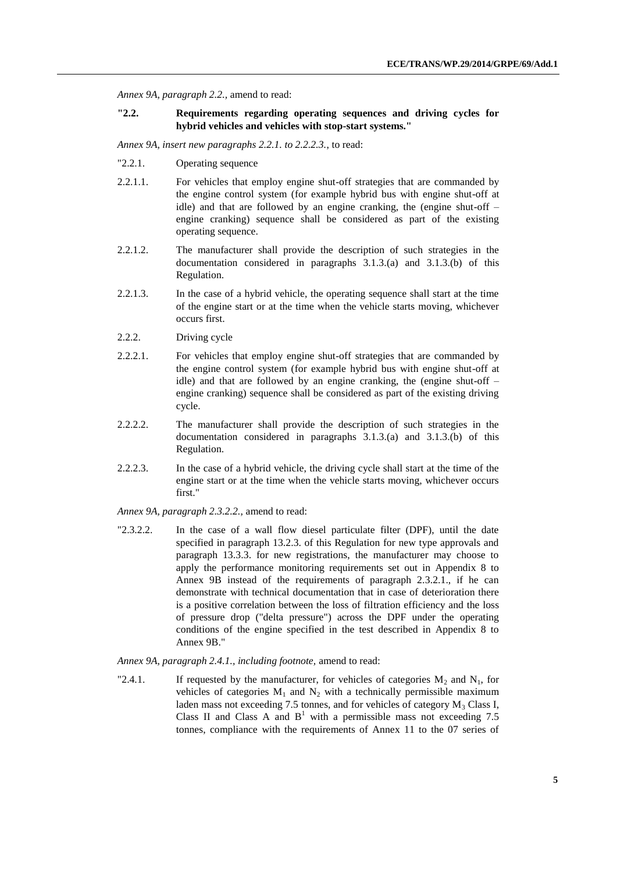*Annex 9A, paragraph 2.2.,* amend to read:

### **"2.2. Requirements regarding operating sequences and driving cycles for hybrid vehicles and vehicles with stop-start systems."**

*Annex 9A, insert new paragraphs 2.2.1. to 2.2.2.3.*, to read:

- "2.2.1. Operating sequence
- 2.2.1.1. For vehicles that employ engine shut-off strategies that are commanded by the engine control system (for example hybrid bus with engine shut-off at idle) and that are followed by an engine cranking, the (engine shut-off – engine cranking) sequence shall be considered as part of the existing operating sequence.
- 2.2.1.2. The manufacturer shall provide the description of such strategies in the documentation considered in paragraphs 3.1.3.(a) and 3.1.3.(b) of this Regulation.
- 2.2.1.3. In the case of a hybrid vehicle, the operating sequence shall start at the time of the engine start or at the time when the vehicle starts moving, whichever occurs first.
- 2.2.2. Driving cycle
- 2.2.2.1. For vehicles that employ engine shut-off strategies that are commanded by the engine control system (for example hybrid bus with engine shut-off at idle) and that are followed by an engine cranking, the (engine shut-off – engine cranking) sequence shall be considered as part of the existing driving cycle.
- 2.2.2.2. The manufacturer shall provide the description of such strategies in the documentation considered in paragraphs 3.1.3.(a) and 3.1.3.(b) of this Regulation.
- 2.2.2.3. In the case of a hybrid vehicle, the driving cycle shall start at the time of the engine start or at the time when the vehicle starts moving, whichever occurs first."

*Annex 9A, paragraph 2.3.2.2.,* amend to read:

"2.3.2.2. In the case of a wall flow diesel particulate filter (DPF), until the date specified in paragraph 13.2.3. of this Regulation for new type approvals and paragraph 13.3.3. for new registrations, the manufacturer may choose to apply the performance monitoring requirements set out in Appendix 8 to Annex 9B instead of the requirements of paragraph 2.3.2.1., if he can demonstrate with technical documentation that in case of deterioration there is a positive correlation between the loss of filtration efficiency and the loss of pressure drop ("delta pressure") across the DPF under the operating conditions of the engine specified in the test described in Appendix 8 to Annex 9B."

#### *Annex 9A, paragraph 2.4.1., including footnote,* amend to read:

"2.4.1. If requested by the manufacturer, for vehicles of categories  $M_2$  and  $N_1$ , for vehicles of categories  $M_1$  and  $N_2$  with a technically permissible maximum laden mass not exceeding 7.5 tonnes, and for vehicles of category  $M_3$  Class I, Class II and Class A and  $B<sup>1</sup>$  with a permissible mass not exceeding 7.5 tonnes, compliance with the requirements of Annex 11 to the 07 series of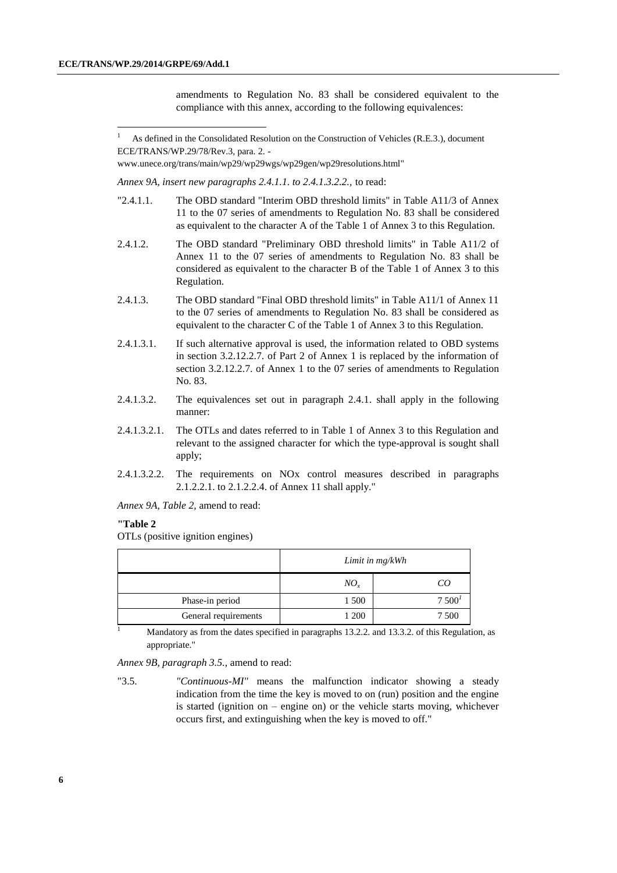-

amendments to Regulation No. 83 shall be considered equivalent to the compliance with this annex, according to the following equivalences:

[www.unece.org/trans/main/wp29/wp29wgs/wp29gen/wp29resolutions.html"](http://www.unece.org/trans/main/wp29/wp29wgs/wp29gen/wp29resolutions.html)

*Annex 9A, insert new paragraphs 2.4.1.1. to 2.4.1.3.2.2.,* to read:

- "2.4.1.1. The OBD standard "Interim OBD threshold limits" in Table A11/3 of Annex 11 to the 07 series of amendments to Regulation No. 83 shall be considered as equivalent to the character A of the Table 1 of Annex 3 to this Regulation.
- 2.4.1.2. The OBD standard "Preliminary OBD threshold limits" in Table A11/2 of Annex 11 to the 07 series of amendments to Regulation No. 83 shall be considered as equivalent to the character B of the Table 1 of Annex 3 to this Regulation.
- 2.4.1.3. The OBD standard "Final OBD threshold limits" in Table A11/1 of Annex 11 to the 07 series of amendments to Regulation No. 83 shall be considered as equivalent to the character C of the Table 1 of Annex 3 to this Regulation.
- 2.4.1.3.1. If such alternative approval is used, the information related to OBD systems in section 3.2.12.2.7. of Part 2 of Annex 1 is replaced by the information of section 3.2.12.2.7. of Annex 1 to the 07 series of amendments to Regulation No. 83.
- 2.4.1.3.2. The equivalences set out in paragraph 2.4.1. shall apply in the following manner:
- 2.4.1.3.2.1. The OTLs and dates referred to in Table 1 of Annex 3 to this Regulation and relevant to the assigned character for which the type-approval is sought shall apply;
- 2.4.1.3.2.2. The requirements on NOx control measures described in paragraphs 2.1.2.2.1. to 2.1.2.2.4. of Annex 11 shall apply."

*Annex 9A, Table 2,* amend to read:

#### **"Table 2**

OTLs (positive ignition engines)

|                      | Limit in mg/kWh |                   |  |
|----------------------|-----------------|-------------------|--|
|                      | $NO_{r}$        | CO                |  |
| Phase-in period      | 1 500           | 7500 <sup>1</sup> |  |
| General requirements | 1 200           | 7 500             |  |

 $\frac{1}{1}$  Mandatory as from the dates specified in paragraphs 13.2.2. and 13.3.2. of this Regulation, as appropriate."

*Annex 9B, paragraph 3.5.,* amend to read:

"3.5. *"Continuous-MI"* means the malfunction indicator showing a steady indication from the time the key is moved to on (run) position and the engine is started (ignition on – engine on) or the vehicle starts moving, whichever occurs first, and extinguishing when the key is moved to off."

<sup>1</sup> As defined in the Consolidated Resolution on the Construction of Vehicles (R.E.3.), document ECE/TRANS/WP.29/78/Rev.3, para. 2. -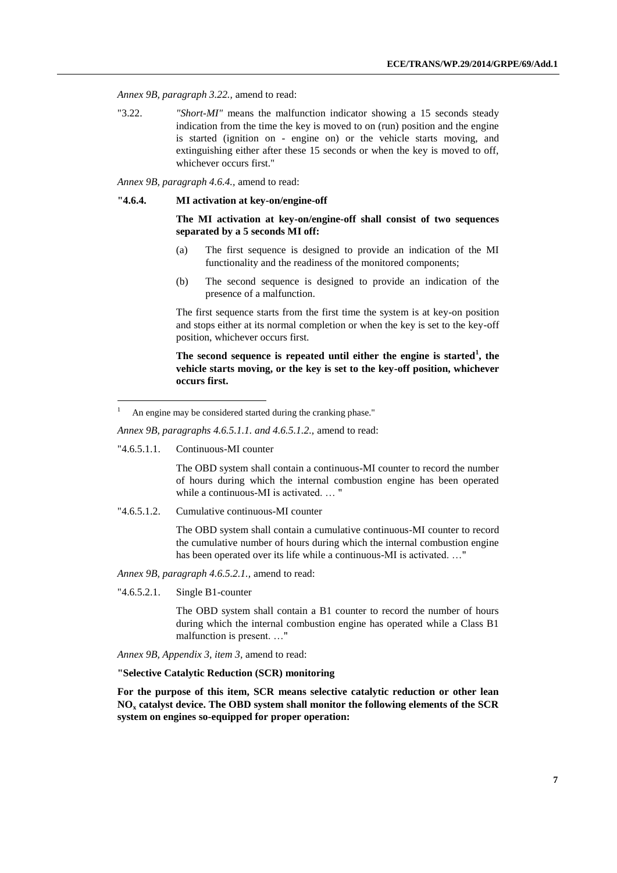*Annex 9B, paragraph 3.22.,* amend to read:

"3.22. *"Short-MI"* means the malfunction indicator showing a 15 seconds steady indication from the time the key is moved to on (run) position and the engine is started (ignition on - engine on) or the vehicle starts moving, and extinguishing either after these 15 seconds or when the key is moved to off, whichever occurs first."

*Annex 9B, paragraph 4.6.4.,* amend to read:

### **"4.6.4. MI activation at key-on/engine-off**

**The MI activation at key-on/engine-off shall consist of two sequences separated by a 5 seconds MI off:**

- (a) The first sequence is designed to provide an indication of the MI functionality and the readiness of the monitored components;
- (b) The second sequence is designed to provide an indication of the presence of a malfunction.

The first sequence starts from the first time the system is at key-on position and stops either at its normal completion or when the key is set to the key-off position, whichever occurs first.

**The second sequence is repeated until either the engine is started<sup>1</sup> , the vehicle starts moving, or the key is set to the key-off position, whichever occurs first.**

*Annex 9B, paragraphs 4.6.5.1.1. and 4.6.5.1.2.,* amend to read:

"4.6.5.1.1. Continuous-MI counter

-

The OBD system shall contain a continuous-MI counter to record the number of hours during which the internal combustion engine has been operated while a continuous-MI is activated. … "

"4.6.5.1.2. Cumulative continuous-MI counter

The OBD system shall contain a cumulative continuous-MI counter to record the cumulative number of hours during which the internal combustion engine has been operated over its life while a continuous-MI is activated. …"

*Annex 9B, paragraph 4.6.5.2.1.,* amend to read:

"4.6.5.2.1. Single B1-counter

The OBD system shall contain a B1 counter to record the number of hours during which the internal combustion engine has operated while a Class B1 malfunction is present. …"

*Annex 9B, Appendix 3, item 3,* amend to read:

**"Selective Catalytic Reduction (SCR) monitoring**

**For the purpose of this item, SCR means selective catalytic reduction or other lean NO<sup>x</sup> catalyst device. The OBD system shall monitor the following elements of the SCR system on engines so-equipped for proper operation:**

An engine may be considered started during the cranking phase."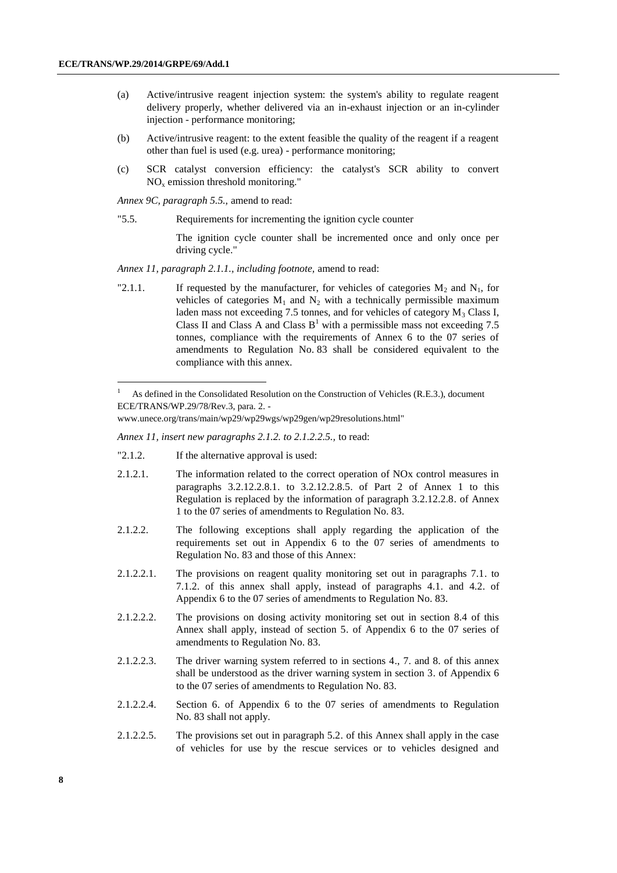-

- (a) Active/intrusive reagent injection system: the system's ability to regulate reagent delivery properly, whether delivered via an in-exhaust injection or an in-cylinder injection - performance monitoring;
- (b) Active/intrusive reagent: to the extent feasible the quality of the reagent if a reagent other than fuel is used (e.g. urea) - performance monitoring;
- (c) SCR catalyst conversion efficiency: the catalyst's SCR ability to convert  $NO<sub>x</sub>$  emission threshold monitoring."

*Annex 9C, paragraph 5.5.,* amend to read:

"5.5. Requirements for incrementing the ignition cycle counter

The ignition cycle counter shall be incremented once and only once per driving cycle."

*Annex 11, paragraph 2.1.1., including footnote,* amend to read:

"2.1.1. If requested by the manufacturer, for vehicles of categories  $M_2$  and  $N_1$ , for vehicles of categories  $M_1$  and  $N_2$  with a technically permissible maximum laden mass not exceeding 7.5 tonnes, and for vehicles of category  $M_3$  Class I, Class II and Class A and Class  $B<sup>1</sup>$  with a permissible mass not exceeding 7.5 tonnes, compliance with the requirements of Annex 6 to the 07 series of amendments to Regulation No. 83 shall be considered equivalent to the compliance with this annex.

*Annex 11, insert new paragraphs 2.1.2. to 2.1.2.2.5.,* to read:

- "2.1.2. If the alternative approval is used:
- 2.1.2.1. The information related to the correct operation of NOx control measures in paragraphs 3.2.12.2.8.1. to 3.2.12.2.8.5. of Part 2 of Annex 1 to this Regulation is replaced by the information of paragraph 3.2.12.2.8. of Annex 1 to the 07 series of amendments to Regulation No. 83.
- 2.1.2.2. The following exceptions shall apply regarding the application of the requirements set out in Appendix 6 to the 07 series of amendments to Regulation No. 83 and those of this Annex:
- 2.1.2.2.1. The provisions on reagent quality monitoring set out in paragraphs 7.1. to 7.1.2. of this annex shall apply, instead of paragraphs 4.1. and 4.2. of Appendix 6 to the 07 series of amendments to Regulation No. 83.
- 2.1.2.2.2. The provisions on dosing activity monitoring set out in section 8.4 of this Annex shall apply, instead of section 5. of Appendix 6 to the 07 series of amendments to Regulation No. 83.
- 2.1.2.2.3. The driver warning system referred to in sections 4., 7. and 8. of this annex shall be understood as the driver warning system in section 3. of Appendix 6 to the 07 series of amendments to Regulation No. 83.
- 2.1.2.2.4. Section 6. of Appendix 6 to the 07 series of amendments to Regulation No. 83 shall not apply.
- 2.1.2.2.5. The provisions set out in paragraph 5.2. of this Annex shall apply in the case of vehicles for use by the rescue services or to vehicles designed and

As defined in the Consolidated Resolution on the Construction of Vehicles (R.E.3.), document ECE/TRANS/WP.29/78/Rev.3, para. 2. -

[www.unece.org/trans/main/wp29/wp29wgs/wp29gen/wp29resolutions.html"](http://www.unece.org/trans/main/wp29/wp29wgs/wp29gen/wp29resolutions.html)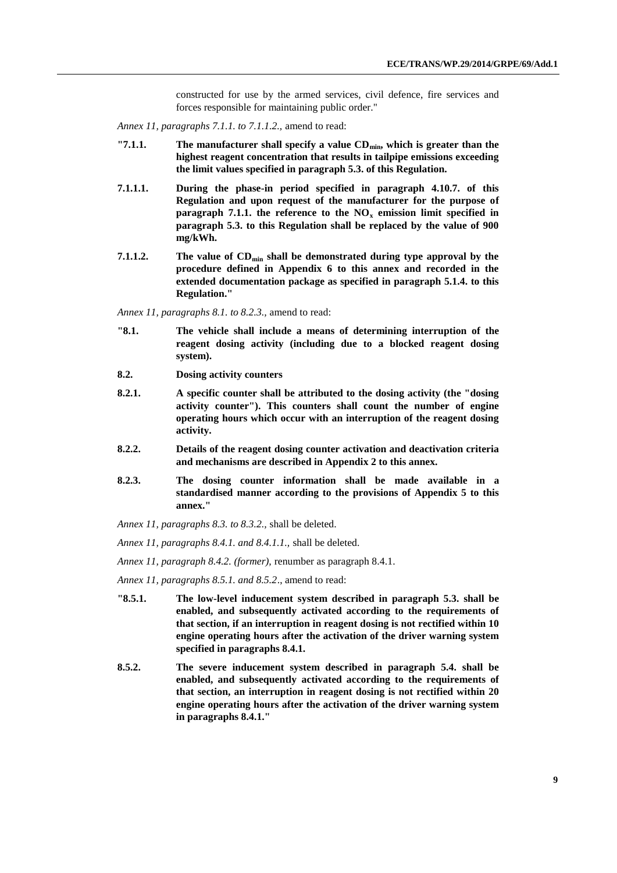constructed for use by the armed services, civil defence, fire services and forces responsible for maintaining public order."

*Annex 11, paragraphs 7.1.1. to 7.1.1.2.,* amend to read:

- **"7.1.1. The manufacturer shall specify a value CDmin, which is greater than the highest reagent concentration that results in tailpipe emissions exceeding the limit values specified in paragraph 5.3. of this Regulation.**
- **7.1.1.1. During the phase-in period specified in paragraph 4.10.7. of this Regulation and upon request of the manufacturer for the purpose of paragraph 7.1.1. the reference to the NO<sup>x</sup> emission limit specified in paragraph 5.3. to this Regulation shall be replaced by the value of 900 mg/kWh.**
- **7.1.1.2. The value of CDmin shall be demonstrated during type approval by the procedure defined in Appendix 6 to this annex and recorded in the extended documentation package as specified in paragraph 5.1.4. to this Regulation."**

*Annex 11, paragraphs 8.1. to 8.2.3.,* amend to read:

- **"8.1. The vehicle shall include a means of determining interruption of the reagent dosing activity (including due to a blocked reagent dosing system).**
- **8.2. Dosing activity counters**
- **8.2.1. A specific counter shall be attributed to the dosing activity (the "dosing activity counter"). This counters shall count the number of engine operating hours which occur with an interruption of the reagent dosing activity.**
- **8.2.2. Details of the reagent dosing counter activation and deactivation criteria and mechanisms are described in Appendix 2 to this annex.**
- **8.2.3. The dosing counter information shall be made available in a standardised manner according to the provisions of Appendix 5 to this annex."**
- *Annex 11, paragraphs 8.3. to 8.3.2.,* shall be deleted.
- *Annex 11, paragraphs 8.4.1. and 8.4.1.1.,* shall be deleted.
- *Annex 11, paragraph 8.4.2. (former),* renumber as paragraph 8.4.1.
- *Annex 11, paragraphs 8.5.1. and 8.5.2*., amend to read:
- **"8.5.1. The low-level inducement system described in paragraph 5.3. shall be enabled, and subsequently activated according to the requirements of that section, if an interruption in reagent dosing is not rectified within 10 engine operating hours after the activation of the driver warning system specified in paragraphs 8.4.1.**
- **8.5.2. The severe inducement system described in paragraph 5.4. shall be enabled, and subsequently activated according to the requirements of that section, an interruption in reagent dosing is not rectified within 20 engine operating hours after the activation of the driver warning system in paragraphs 8.4.1."**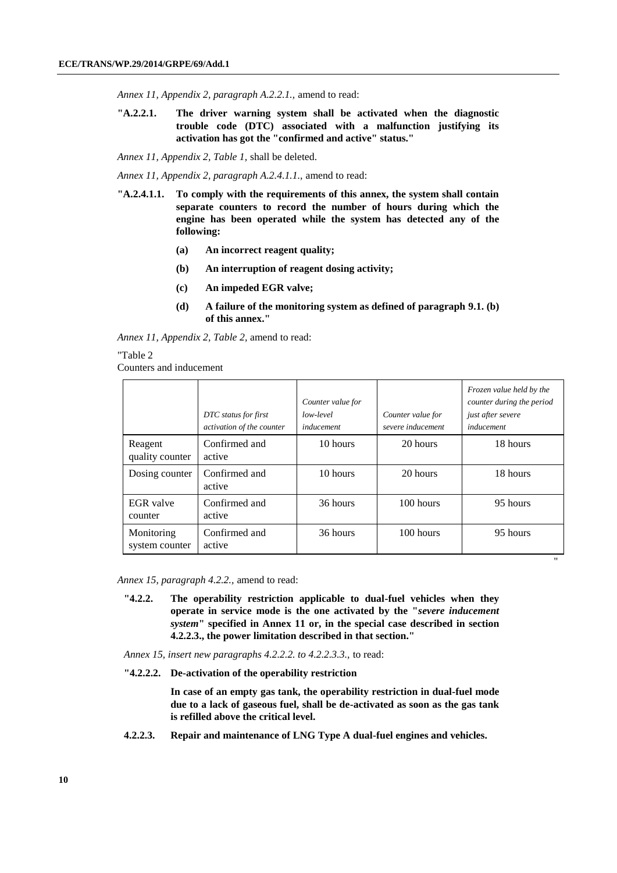*Annex 11, Appendix 2, paragraph A.2.2.1.,* amend to read:

**"A.2.2.1. The driver warning system shall be activated when the diagnostic trouble code (DTC) associated with a malfunction justifying its activation has got the "confirmed and active" status."**

*Annex 11, Appendix 2, Table 1,* shall be deleted.

*Annex 11, Appendix 2, paragraph A.2.4.1.1.,* amend to read:

- **"A.2.4.1.1. To comply with the requirements of this annex, the system shall contain separate counters to record the number of hours during which the engine has been operated while the system has detected any of the following:**
	- **(a) An incorrect reagent quality;**
	- **(b) An interruption of reagent dosing activity;**
	- **(c) An impeded EGR valve;**
	- **(d) A failure of the monitoring system as defined of paragraph 9.1. (b) of this annex."**

*Annex 11, Appendix 2, Table 2,* amend to read:

#### "Table 2

Counters and inducement

|                              | DTC status for first<br>activation of the counter | Counter value for<br>low-level<br>inducement | Counter value for<br>severe inducement | Frozen value held by the<br>counter during the period<br>just after severe<br>inducement |
|------------------------------|---------------------------------------------------|----------------------------------------------|----------------------------------------|------------------------------------------------------------------------------------------|
| Reagent<br>quality counter   | Confirmed and<br>active                           | 10 hours                                     | 20 hours                               | 18 hours                                                                                 |
| Dosing counter               | Confirmed and<br>active                           | 10 hours                                     | 20 hours                               | 18 hours                                                                                 |
| EGR valve<br>counter         | Confirmed and<br>active                           | 36 hours                                     | 100 hours                              | 95 hours                                                                                 |
| Monitoring<br>system counter | Confirmed and<br>active                           | 36 hours                                     | 100 hours                              | 95 hours                                                                                 |

*Annex 15, paragraph 4.2.2.,* amend to read:

- **"4.2.2. The operability restriction applicable to dual-fuel vehicles when they operate in service mode is the one activated by the "***severe inducement system***" specified in Annex 11 or, in the special case described in section 4.2.2.3., the power limitation described in that section."**
- *Annex 15, insert new paragraphs 4.2.2.2. to 4.2.2.3.3.,* to read:
- **"4.2.2.2. De-activation of the operability restriction**

**In case of an empty gas tank, the operability restriction in dual-fuel mode due to a lack of gaseous fuel, shall be de-activated as soon as the gas tank is refilled above the critical level.**

**4.2.2.3. Repair and maintenance of LNG Type A dual-fuel engines and vehicles.**